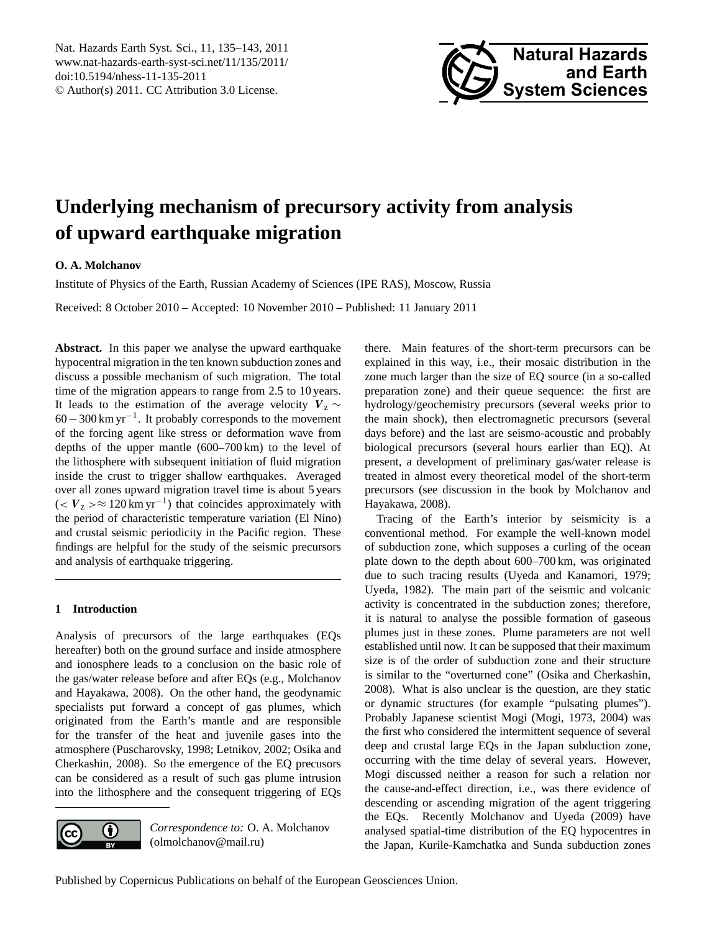<span id="page-0-0"></span>Nat. Hazards Earth Syst. Sci., 11, 135–143, 2011 www.nat-hazards-earth-syst-sci.net/11/135/2011/ doi:10.5194/nhess-11-135-2011 © Author(s) 2011. CC Attribution 3.0 License.



# **Underlying mechanism of precursory activity from analysis of upward earthquake migration**

## **O. A. Molchanov**

Institute of Physics of the Earth, Russian Academy of Sciences (IPE RAS), Moscow, Russia

Received: 8 October 2010 – Accepted: 10 November 2010 – Published: 11 January 2011

Abstract. In this paper we analyse the upward earthquake hypocentral migration in the ten known subduction zones and discuss a possible mechanism of such migration. The total time of the migration appears to range from 2.5 to 10 years. It leads to the estimation of the average velocity  $V_z \sim$ 60−300 km yr−<sup>1</sup> . It probably corresponds to the movement of the forcing agent like stress or deformation wave from depths of the upper mantle (600–700 km) to the level of the lithosphere with subsequent initiation of fluid migration inside the crust to trigger shallow earthquakes. Averaged over all zones upward migration travel time is about 5 years  $(< V_z > \approx 120 \text{ km yr}^{-1})$  that coincides approximately with the period of characteristic temperature variation (El Nino) and crustal seismic periodicity in the Pacific region. These findings are helpful for the study of the seismic precursors and analysis of earthquake triggering.

## **1 Introduction**

Analysis of precursors of the large earthquakes (EQs hereafter) both on the ground surface and inside atmosphere and ionosphere leads to a conclusion on the basic role of the gas/water release before and after EQs (e.g., Molchanov and Hayakawa, 2008). On the other hand, the geodynamic specialists put forward a concept of gas plumes, which originated from the Earth's mantle and are responsible for the transfer of the heat and juvenile gases into the atmosphere (Puscharovsky, 1998; Letnikov, 2002; Osika and Cherkashin, 2008). So the emergence of the EQ precusors can be considered as a result of such gas plume intrusion into the lithosphere and the consequent triggering of EQs



*Correspondence to:* O. A. Molchanov (olmolchanov@mail.ru)

there. Main features of the short-term precursors can be explained in this way, i.e., their mosaic distribution in the zone much larger than the size of EQ source (in a so-called preparation zone) and their queue sequence: the first are hydrology/geochemistry precursors (several weeks prior to the main shock), then electromagnetic precursors (several days before) and the last are seismo-acoustic and probably biological precursors (several hours earlier than EQ). At present, a development of preliminary gas/water release is treated in almost every theoretical model of the short-term precursors (see discussion in the book by Molchanov and Hayakawa, 2008).

Tracing of the Earth's interior by seismicity is a conventional method. For example the well-known model of subduction zone, which supposes a curling of the ocean plate down to the depth about 600–700 km, was originated due to such tracing results (Uyeda and Kanamori, 1979; Uyeda, 1982). The main part of the seismic and volcanic activity is concentrated in the subduction zones; therefore, it is natural to analyse the possible formation of gaseous plumes just in these zones. Plume parameters are not well established until now. It can be supposed that their maximum size is of the order of subduction zone and their structure is similar to the "overturned cone" (Osika and Cherkashin, 2008). What is also unclear is the question, are they static or dynamic structures (for example "pulsating plumes"). Probably Japanese scientist Mogi (Mogi, 1973, 2004) was the first who considered the intermittent sequence of several deep and crustal large EQs in the Japan subduction zone, occurring with the time delay of several years. However, Mogi discussed neither a reason for such a relation nor the cause-and-effect direction, i.e., was there evidence of descending or ascending migration of the agent triggering the EQs. Recently Molchanov and Uyeda (2009) have analysed spatial-time distribution of the EQ hypocentres in the Japan, Kurile-Kamchatka and Sunda subduction zones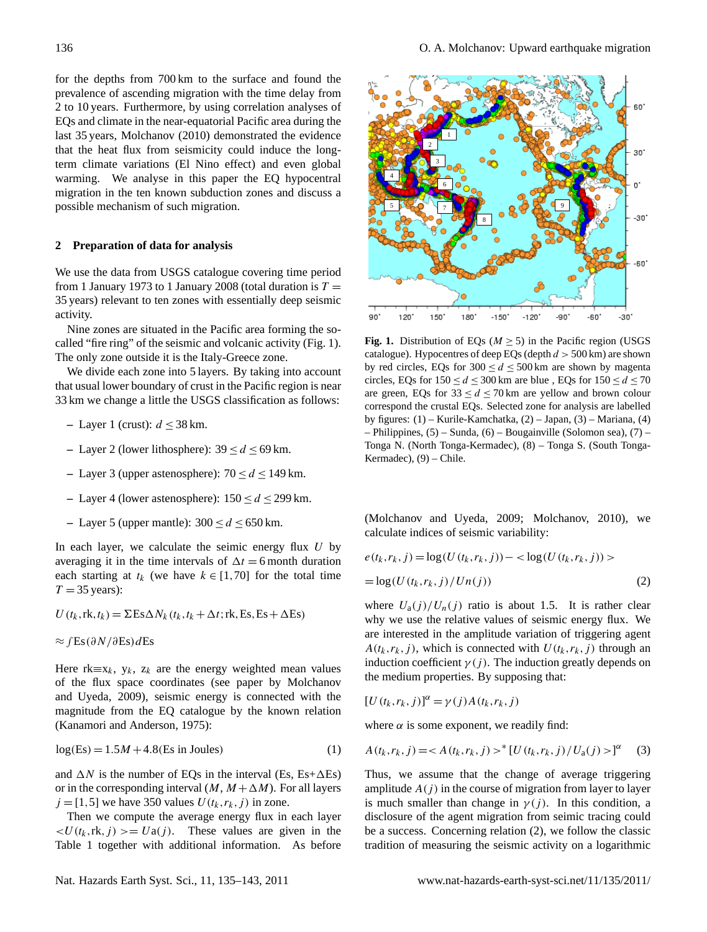for the depths from 700 km to the surface and found the prevalence of ascending migration with the time delay from 2 to 10 years. Furthermore, by using correlation analyses of EQs and climate in the near-equatorial Pacific area during the last 35 years, Molchanov (2010) demonstrated the evidence that the heat flux from seismicity could induce the longterm climate variations (El Nino effect) and even global warming. We analyse in this paper the EQ hypocentral migration in the ten known subduction zones and discuss a possible mechanism of such migration.

## **2 Preparation of data for analysis**

We use the data from USGS catalogue covering time period from 1 January 1973 to 1 January 2008 (total duration is  $T =$ 35 years) relevant to ten zones with essentially deep seismic activity.

Nine zones are situated in the Pacific area forming the so called "fire ring" of the seismic and volcanic activity (Fig. 1). The only zone outside it is the Italy-Greece zone.

We divide each zone into 5 layers. By taking into account that usual lower boundary of crust in the Pacific region is near 33 km we change a little the USGS classification as follows:

- **−** Layer 1 (crust):  $d \leq 38$  km.
- **–** Layer 2 (lower lithosphere): 39 ≤ d ≤ 69 km.
- **–** Layer 3 (upper astenosphere): 70 ≤ d ≤ 149 km.
- **–** Layer 4 (lower astenosphere): 150 ≤ d ≤ 299 km.
- **–** Layer 5 (upper mantle): 300 ≤ d ≤ 650 km.

In each layer, we calculate the seimic energy flux  $U$  by averaging it in the time intervals of  $\Delta t = 6$  month duration each starting at  $t_k$  (we have  $k \in [1, 70]$  for the total time  $T = 35$  years):

 $U(t_k, \text{rk}, t_k) = \Sigma \text{Es} \Delta N_k (t_k, t_k + \Delta t; \text{rk}, \text{Es}, \text{Es} + \Delta \text{Es})$ 

 $\approx$  ∫Es(∂N/∂Es)dEs

Here rk≡x<sub>k</sub>, y<sub>k</sub>, z<sub>k</sub> are the energy weighted mean values of the flux space coordinates (see paper by Molchanov and Uyeda, 2009), seismic energy is connected with the magnitude from the EQ catalogue by the known relation (Kanamori and Anderson, 1975):

$$
log(Es) = 1.5M + 4.8(Es in Joules)
$$
 (1)

and  $\Delta N$  is the number of EQs in the interval (Es, Es+ $\Delta$ Es) or in the corresponding interval  $(M, M + \Delta M)$ . For all layers  $j = [1, 5]$  we have 350 values  $U(t_k, r_k, j)$  in zone.

Then we compute the average energy flux in each layer  $\langle U(t_k, t\mathbf{k}, j) \rangle = U\mathbf{a}(j)$ . These values are given in the Table 1 together with additional information. As before



**Fig. 1.** Distribution of EQs ( $M \ge 5$ ) in the Pacific region (USGS catalogue). Hypocentres of deep EQs (depth  $d > 500$  km) are shown by red circles, EQs for  $300 \le d \le 500$  km are shown by magenta circles, EQs for  $150 \le d \le 300$  km are blue, EQs for  $150 \le d \le 70$ are green, EQs for  $33 \le d \le 70$  km are yellow and brown colour correspond the crustal EQs. Selected zone for analysis are labelled by figures: (1) – Kurile-Kamchatka, (2) – Japan, (3) – Mariana, (4) – Philippines, (5) – Sunda, (6) – Bougainville (Solomon sea), (7) – Tonga N. (North Tonga-Kermadec), (8) – Tonga S. (South Tonga-Kermadec), (9) – Chile.

(Molchanov and Uyeda, 2009; Molchanov, 2010), we calculate indices of seismic variability:

$$
e(t_k, r_k, j) = \log(U(t_k, r_k, j)) - \langle \log(U(t_k, r_k, j)) \rangle
$$

$$
= \log(U(t_k, r_k, j) / Un(j))
$$
(2)

where  $U_a(j)/U_n(j)$  ratio is about 1.5. It is rather clear why we use the relative values of seismic energy flux. We are interested in the amplitude variation of triggering agent  $A(t_k, r_k, j)$ , which is connected with  $U(t_k, r_k, j)$  through an induction coefficient  $\gamma(j)$ . The induction greatly depends on the medium properties. By supposing that:

$$
[U(t_k,r_k,j)]^{\alpha} = \gamma(j)A(t_k,r_k,j)
$$

where  $\alpha$  is some exponent, we readily find:

$$
A(t_k, r_k, j) = ^* [U(t_k, r_k, j) / U_a(j) >]^{\alpha}
$$
 (3)

Thus, we assume that the change of average triggering amplitude  $A(j)$  in the course of migration from layer to layer is much smaller than change in  $\gamma(j)$ . In this condition, a disclosure of the agent migration from seimic tracing could be a success. Concerning relation (2), we follow the classic tradition of measuring the seismic activity on a logarithmic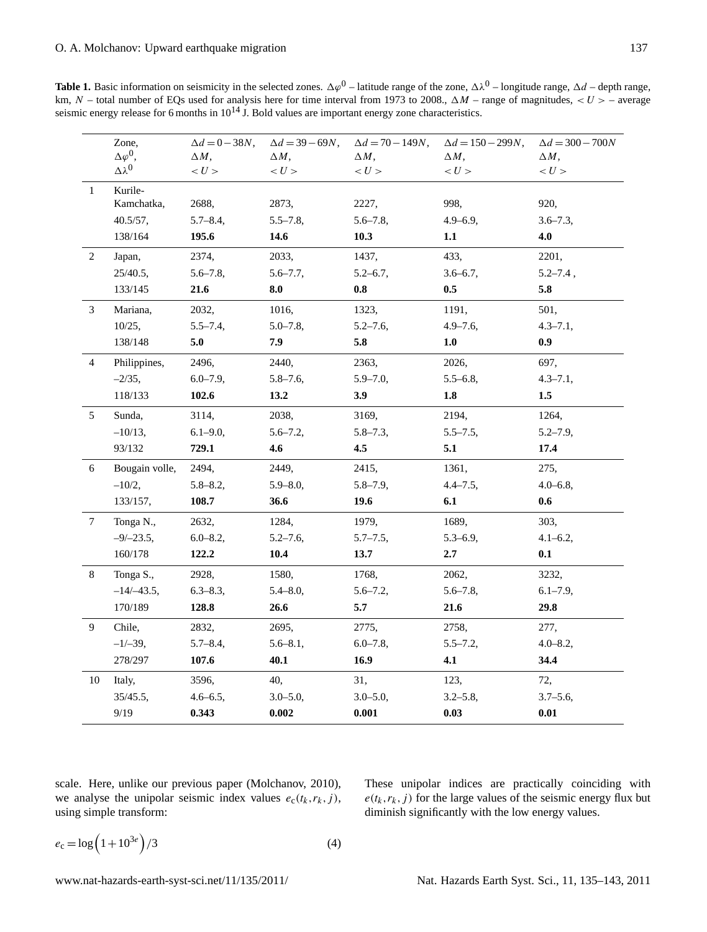**Table 1.** Basic information on seismicity in the selected zones.  $\Delta\varphi^0$  – latitude range of the zone,  $\Delta\lambda^0$  – longitude range,  $\Delta d$  – depth range, km, N – total number of EQs used for analysis here for time interval from 1973 to 2008.,  $\Delta M$  – range of magnitudes,  $\langle U \rangle$  – average seismic energy release for 6 months in  $10^{14}$  J. Bold values are important energy zone characteristics.

|              | Zone,              | $\Delta d = 0 - 38N,$ | $\Delta d = 39 - 69N,$ | $\Delta d = 70 - 149N$ , | $\Delta d = 150 - 299N$ , | $\Delta d = 300 - 700N$ |
|--------------|--------------------|-----------------------|------------------------|--------------------------|---------------------------|-------------------------|
|              | $\Delta\varphi^0$  | $\Delta M$ .          | $\Delta M$ .           | $\Delta M$ .             | $\Delta M$ .              | $\Delta M$ .            |
|              | $\Delta \lambda^0$ | < U >                 | < U >                  | < U >                    | < U >                     | < U >                   |
| $\mathbf{1}$ | Kurile-            |                       |                        |                          |                           |                         |
|              | Kamchatka,         | 2688,                 | 2873,                  | 2227,                    | 998,                      | 920,                    |
|              | 40.5/57,           | $5.7 - 8.4$           | $5.5 - 7.8$            | $5.6 - 7.8$              | $4.9 - 6.9$ ,             | $3.6 - 7.3$             |
|              | 138/164            | 195.6                 | 14.6                   | 10.3                     | $1.1\,$                   | 4.0                     |
| 2            | Japan,             | 2374,                 | 2033,                  | 1437,                    | 433,                      | 2201,                   |
|              | $25/40.5$ ,        | $5.6 - 7.8$           | $5.6 - 7.7$ ,          | $5.2 - 6.7$ ,            | $3.6 - 6.7$ ,             | $5.2 - 7.4$ ,           |
|              | 133/145            | 21.6                  | 8.0                    | 0.8                      | 0.5                       | 5.8                     |
| 3            | Mariana,           | 2032,                 | 1016,                  | 1323,                    | 1191,                     | 501,                    |
|              | 10/25,             | $5.5 - 7.4$           | $5.0 - 7.8$            | $5.2 - 7.6$              | $4.9 - 7.6$ ,             | $4.3 - 7.1$ ,           |
|              | 138/148            | 5.0                   | 7.9                    | 5.8                      | 1.0                       | 0.9                     |
| 4            | Philippines,       | 2496,                 | 2440,                  | 2363,                    | 2026,                     | 697,                    |
|              | $-2/35$ ,          | $6.0 - 7.9$ ,         | $5.8 - 7.6$ ,          | $5.9 - 7.0$ ,            | $5.5 - 6.8$ ,             | $4.3 - 7.1$ ,           |
|              | 118/133            | 102.6                 | 13.2                   | 3.9                      | 1.8                       | $1.5\,$                 |
| 5            | Sunda,             | 3114,                 | 2038,                  | 3169,                    | 2194,                     | 1264,                   |
|              | $-10/13,$          | $6.1 - 9.0$ ,         | $5.6 - 7.2$            | $5.8 - 7.3$ ,            | $5.5 - 7.5$ ,             | $5.2 - 7.9$ ,           |
|              | 93/132             | 729.1                 | 4.6                    | 4.5                      | 5.1                       | 17.4                    |
| 6            | Bougain volle,     | 2494,                 | 2449,                  | 2415,                    | 1361,                     | 275,                    |
|              | $-10/2,$           | $5.8 - 8.2$           | $5.9 - 8.0$ ,          | $5.8 - 7.9$ ,            | $4.4 - 7.5$ ,             | $4.0 - 6.8$ ,           |
|              | 133/157,           | 108.7                 | 36.6                   | 19.6                     | 6.1                       | 0.6                     |
| 7            | Tonga N.,          | 2632,                 | 1284,                  | 1979,                    | 1689,                     | 303,                    |
|              | $-9/-23.5$ ,       | $6.0 - 8.2$           | $5.2 - 7.6$ ,          | $5.7 - 7.5$ ,            | $5.3 - 6.9$ ,             | $4.1 - 6.2,$            |
|              | 160/178            | 122.2                 | 10.4                   | 13.7                     | 2.7                       | 0.1                     |
| 8            | Tonga S.,          | 2928,                 | 1580,                  | 1768,                    | 2062,                     | 3232,                   |
|              | $-14/-43.5$ ,      | $6.3 - 8.3$ ,         | $5.4 - 8.0$ ,          | $5.6 - 7.2$              | $5.6 - 7.8$               | $6.1 - 7.9$ ,           |
|              | 170/189            | 128.8                 | 26.6                   | 5.7                      | 21.6                      | 29.8                    |
| 9            | Chile,             | 2832,                 | 2695,                  | 2775,                    | 2758,                     | 277,                    |
|              | $-1/-39,$          | $5.7 - 8.4$ ,         | $5.6 - 8.1$ ,          | $6.0 - 7.8$ ,            | $5.5 - 7.2$               | $4.0 - 8.2$ ,           |
|              | 278/297            | 107.6                 | 40.1                   | 16.9                     | 4.1                       | 34.4                    |
| 10           | Italy,             | 3596,                 | 40,                    | 31,                      | 123,                      | 72,                     |
|              | 35/45.5,           | $4.6 - 6.5$ ,         | $3.0 - 5.0$ ,          | $3.0 - 5.0$ ,            | $3.2 - 5.8$ ,             | $3.7 - 5.6$ ,           |
|              | 9/19               | 0.343                 | 0.002                  | 0.001                    | 0.03                      | 0.01                    |

scale. Here, unlike our previous paper (Molchanov, 2010), we analyse the unipolar seismic index values  $e_c(t_k, r_k, j)$ , using simple transform:

These unipolar indices are practically coinciding with 
$$
e(t_k, r_k, j)
$$
 for the large values of the seismic energy flux but diminish significantly with the low energy values.

$$
e_{\rm c} = \log\left(1 + 10^{3e}\right) / 3\tag{4}
$$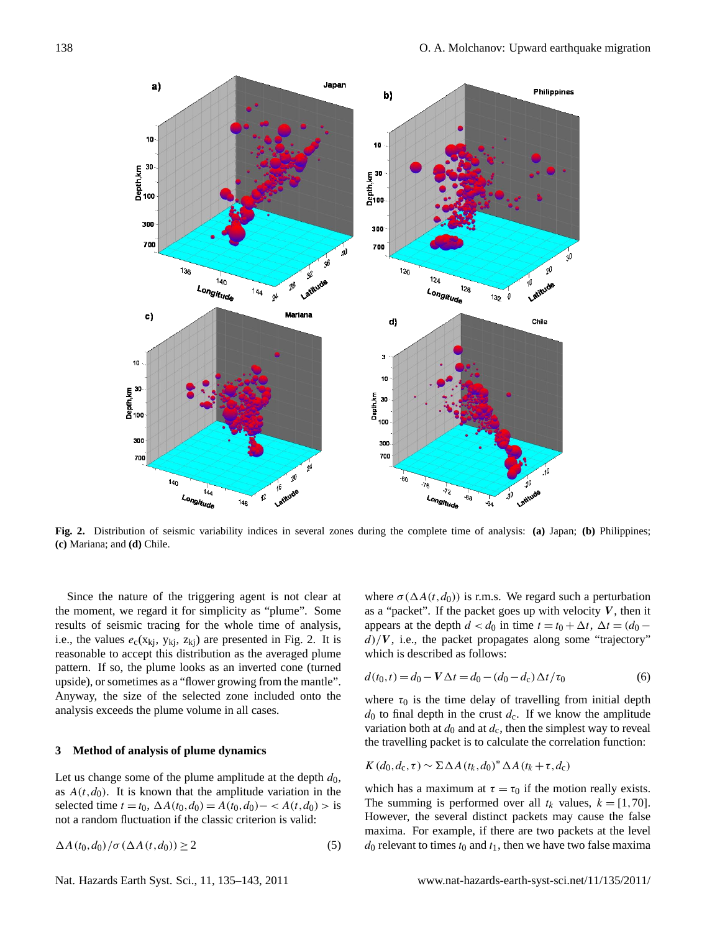

**Fig. 2.** Distribution of seismic variability indices in several zones during the complete time of analysis: **(a)** Japan; **(b)** Philippines; **(c)** Mariana; and **(d)** Chile.

Since the nature of the triggering agent is not clear at that, the varies  $\epsilon_c(x_{kj}, y_{kj}, z_{kj})$  are presented in Fig. 2. It is  $\frac{a}{b}$ , A fig. to, the packet propagates along some reasonable to accept this distribution as the averaged plume which is described as follows:  $\frac{1}{2}$  pattern. If so, the plume looks as an inverted cone (turned Anyway, the size of the selected zone included onto the where  $\tau_0$  is the time delay of travelling f the moment, we regard it for simplicity as "plume". Some results of seismic tracing for the whole time of analysis, i.e., the values  $e_c(x_{kj}, y_{kj}, z_{kj})$  are presented in Fig. 2. It is upside), or sometimes as a "flower growing from the mantle". analysis exceeds the plume volume in all cases.

## 3 Method of analysis of plume dynamics **Example 3** Method of analysis of plume dynamics

Let us change some of the plume amplitude at the depth  $d_0$ ,<br>which has a maximum at  $\tau = \tau_0$  if the mot as  $A(t, d_0)$ . It is known that the amplitude variation in the selected time  $t = t_0$ ,  $\Delta A(t_0, d_0) = A(t_0, d_0) - \langle A(t, d_0) \rangle$  is not a random fluctuation if the classic criterion is valid:

$$
\Delta A(t_0, d_0) / \sigma (\Delta A(t, d_0)) \ge 2
$$
\n(5)

mic tracing for the whole time of analysis, appears at the depth  $d < d_0$  in time  $t = t_0 + \Delta t$ ,  $\Delta t = (d_0 - \Delta t)^T$ where  $\sigma(\Delta A(t, d_0))$  is r.m.s. We regard such a perturbation as a "packet". If the packet goes up with velocity  $V$ , then it  $d$ )/V, i.e., the packet propagates along some "trajectory" which is described as follows:

$$
d(t_0, t) = d_0 - V\Delta t = d_0 - (d_0 - d_c)\Delta t/\tau_0
$$
\n(6)

do to final depth in the crust  $d_c$ . If we know the amplitude due to final depth in the crust  $d_c$ . If we know the amplitude  $\frac{d}{dt}$  the travelling packet is to calculate the correlation function: where  $\tau_0$  is the time delay of travelling from initial depth variation both at  $d_0$  and at  $d_c$ , then the simplest way to reveal

$$
K(d_0, d_c, \tau) \sim \Sigma \Delta A (t_k, d_0)^* \Delta A (t_k + \tau, d_c)
$$

which has a maximum at  $\tau = \tau_0$  if the motion really exists. The summing is performed over all  $t_k$  values,  $k = [1, 70]$ . However, the several distinct packets may cause the false maxima. For example, if there are two packets at the level  $d_0$  relevant to times  $t_0$  and  $t_1$ , then we have two false maxima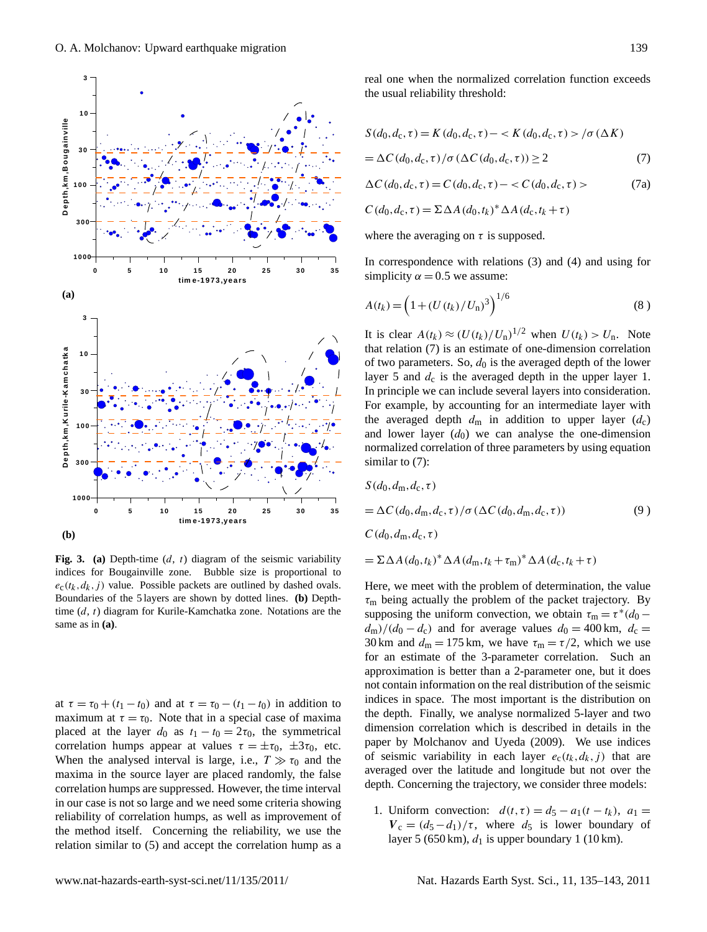



**Fig. 3.** (a) Depth-time  $(d, t)$  diagram of the seismic variability time  $(d, t)$  diagram for Kurile-Kamchatka zone. Notations are the supposing the uniform  $\zeta$ same as in  $(a)$ . indices for Bougainville zone. Bubble size is proportional to  $e_c(t_k, d_k, j)$  value. Possible packets are outlined by dashed ovals. Boundaries of the 5 layers are shown by dotted lines. **(b)** Depth-

at  $\tau = \tau_0 + (t_1 - t_0)$  and at  $\tau = \tau_0 - (t_1 - t_0)$  in addition to indices in space. The m maximum at  $\tau = \tau_0$ . Note that in a special case of maxima the depth. Finally, we a maximum at  $v = v_0$ . However, we can be computed that the three orientations for all the three placed at the three  $d_0$  as  $t_1 - t_0 = 2\tau_0$ , the symmetrical dimension correlation w correlation humps appear at values  $\tau = \pm \tau_0$ ,  $\pm 3\tau_0$ , etc. paper by Molchanov a When the analysed interval is large, i.e.,  $T \gg \tau_0$  and the of seismic variability is maxima in the source layer are placed randomly, the false averaged over the latitu correlation humps are suppressed. However, the time interval depth. Concerning the tr in our case is not so large and we need some criteria showing  $\frac{1}{1 + \text{Unif}}$ reliability of correlation humps, as well as improvement of  $\frac{1}{N}$  colluction the method itself. Concerning the reliability, we use the  $\frac{v_c - (a_5 - a_1)}{2}$ relation similar to (5) and accept the correlation hump as a  $r^2$  and  $r^2$  (050 km),  $a_1$ 

real one when the normalized correlation function exceeds the usual reliability threshold:

$$
S(d_0, d_c, \tau) = K(d_0, d_c, \tau) - \langle K(d_0, d_c, \tau) \rangle / \sigma(\Delta K)
$$
  
= \Delta C(d\_0, d\_c, \tau) / \sigma(\Delta C(d\_0, d\_c, \tau)) \ge 2 (7)

$$
\Delta C(d_0, d_c, \tau) = C(d_0, d_c, \tau) - \langle C(d_0, d_c, \tau) \rangle \tag{7a}
$$

$$
C(d_0, d_c, \tau) = \Sigma \Delta A (d_0, t_k)^* \Delta A (d_c, t_k + \tau)
$$

In correspondence with relations (3) and (4) and using for simplicity  $\alpha = 0.5$  we assume:

$$
A(t_k) = \left(1 + (U(t_k)/U_n)^3\right)^{1/6}
$$
\n(8)

It is clear  $A(t_k) \approx (U(t_k)/U_n)^{1/2}$  when  $U(t_k) > U_n$ . Note that relation (7) is an estimate of one-dimension correlation of two parameters. So,  $d_0$  is the averaged depth of the lower layer 5 and  $d_c$  is the averaged depth in the upper layer 1. In principle we can include several layers into consideration. For example, by accounting for an intermediate layer with the averaged depth  $d_m$  in addition to upper layer  $(d_c)$ and lower layer  $(d_0)$  we can analyse the one-dimension normalized correlation of three parameters by using equation similar to  $(7)$ :

$$
S(d_0, d_m, d_c, \tau)
$$
  
=  $\Delta C(d_0, d_m, d_c, \tau) / \sigma (\Delta C(d_0, d_m, d_c, \tau))$  (9)  
 $C(d_0, d_m, d_c, \tau)$ 

$$
= \Sigma \Delta A \left(d_0, t_k\right)^* \Delta A \left(d_m, t_k + \tau_m\right)^* \Delta A \left(d_c, t_k + \tau\right)
$$

not contain information on the real distribution of the seismic Here, we meet with the problem of determination, the value  $\tau_{\rm m}$  being actually the problem of the packet trajectory. By supposing the uniform convection, we obtain  $\tau_m = \tau^*(d_0$  $d_m$ )/( $d_0 - d_c$ ) and for average values  $d_0 = 400$  km,  $d_c =$ 30 km and  $d_m = 175$  km, we have  $\tau_m = \tau/2$ , which we use for an estimate of the 3-parameter correlation. Such an approximation is better than a 2-parameter one, but it does indices in space. The most important is the distribution on the depth. Finally, we analyse normalized 5-layer and two dimension correlation which is described in details in the paper by Molchanov and Uyeda (2009). We use indices of seismic variability in each layer  $e_c(t_k, d_k, j)$  that are averaged over the latitude and longitude but not over the depth. Concerning the trajectory, we consider three models:

> 1. Uniform convection:  $d(t, \tau) = d_5 - a_1(t - t_k)$ ,  $a_1 =$  $V_c = (d_5 - d_1)/\tau$ , where  $d_5$  is lower boundary of layer 5 (650 km),  $d_1$  is upper boundary 1 (10 km).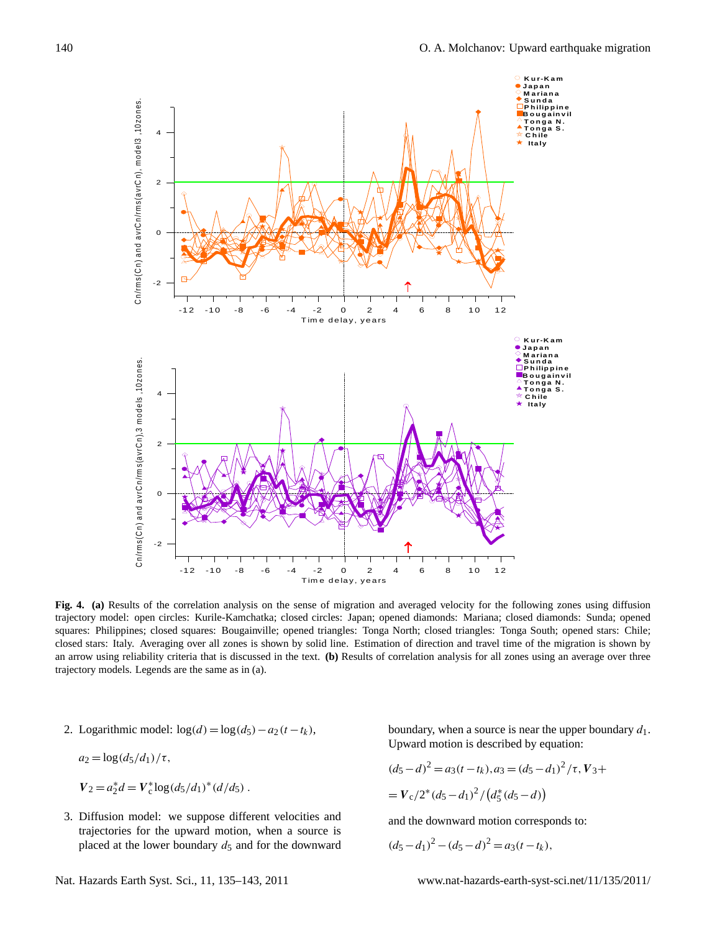

squares: Philippines; closed squares: Bougainville; opened triangles: Tonga North; closed triangles: Tonga South; opened stars: Chile;<br>closed stars: Italy, Averaging over all zones is shown by solid line. Estimation of dir an arrow using reliability criteria that is discussed in the text. (b) Results of correlation analysis for all zones using an average over three trajectory models. Legends are the same as in (a). trajectory model: open circles: Kurile-Kamchatka; closed circles: Japan; opened diamonds: Mariana; closed diamonds: Sunda; opened **Fig. 4. (a)** Results of the correlation analysis on the sense of migration and averaged velocity for the following zones using diffusion closed stars: Italy. Averaging over all zones is shown by solid line. Estimation of direction and travel time of the migration is shown by

2. Logarithmic model:  $log(d) = log(d_5) - a_2(t - t_k)$ ,

$$
a_2 = \log\left(\frac{d_5}{d_1}\right) / \tau,
$$

$$
V_2 = a_2^* d = V_c^* \log \left( \frac{d_5}{d_1} \right)^* \left( \frac{d}{d_5} \right).
$$

3. Diffusion model: we suppose different velocities and  $\mathbf{a}$ . placed at the lower boundary  $d_5$  and for the downward  $(d_5-d_1)^2 - (d_5-d)^2 = a_3(t-t_k)$ , trajectories for the upward motion, when a source is  $\frac{1}{2}$  and  $\frac{1}{2}$  and  $\frac{1}{2}$  and  $\frac{1}{2}$  and  $\frac{1}{2}$  and  $\frac{1}{2}$  and  $\frac{1}{2}$  and  $\frac{1}{2}$  and  $\frac{1}{2}$  and  $\frac{1}{2}$  and  $\frac{1}{2}$  and  $\frac{1}{2}$  and

ic model:  $\log(d) = \log(d_5) - a_2(t - t_k)$ , boundary, when a source is near the upper boundary  $d_1$ . Upward motion is described by equation:<br> $\left(d_{\mathbf{v}}\right)$   $\left(\tau$ 

$$
(d_5 - d)^2 = a_3(t - t_k), a_3 = (d_5 - d_1)^2/\tau, V_3 +
$$
  
=  $V_c^* \log(d_5/d_1)^*(d/d_5)$ .  
=  $V_c/2^*(d_5 - d_1)^2/(d_5^*(d_5 - d))$ 

and the downward motion corresponds to:

$$
(d_5 - d_1)^2 - (d_5 - d)^2 = a_3(t - t_k),
$$

Nat. Hazards Earth Syst. Sci., 11, 135[–143,](#page-0-0) 2011 www.nat-hazards-earth-syst-sci.net/11/135/2011/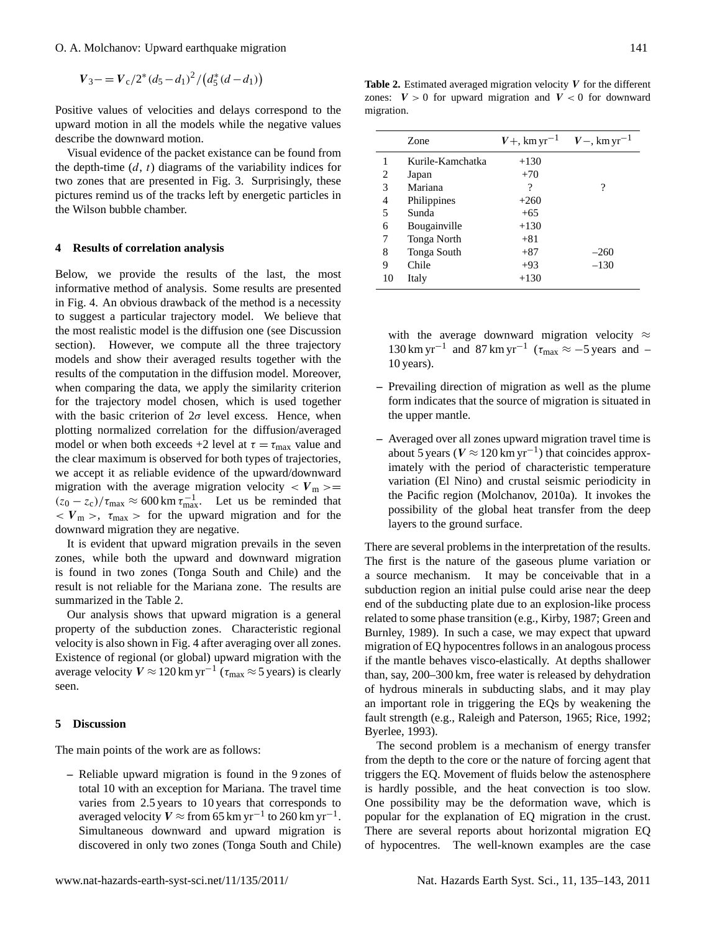$V_3 = V_c/2^*(d_5 - d_1)^2/(d_5^*(d - d_1))$ 

Positive values of velocities and delays correspond to the upward motion in all the models while the negative values describe the downward motion.

Visual evidence of the packet existance can be found from the depth-time  $(d, t)$  diagrams of the variability indices for two zones that are presented in Fig. 3. Surprisingly, these pictures remind us of the tracks left by energetic particles in the Wilson bubble chamber.

### **4 Results of correlation analysis**

Below, we provide the results of the last, the most informative method of analysis. Some results are presented in Fig. 4. An obvious drawback of the method is a necessity to suggest a particular trajectory model. We believe that the most realistic model is the diffusion one (see Discussion section). However, we compute all the three trajectory models and show their averaged results together with the results of the computation in the diffusion model. Moreover, when comparing the data, we apply the similarity criterion for the trajectory model chosen, which is used together with the basic criterion of  $2\sigma$  level excess. Hence, when plotting normalized correlation for the diffusion/averaged model or when both exceeds +2 level at  $\tau = \tau_{\text{max}}$  value and the clear maximum is observed for both types of trajectories, we accept it as reliable evidence of the upward/downward migration with the average migration velocity  $\langle V_{\text{m}} \rangle =$  $(z_0 - z_c)/\tau_{\text{max}} \approx 600 \text{ km } \tau_{\text{max}}^{-1}$ . Let us be reminded that  $\langle V_{\rm m} \rangle$ ,  $\tau_{\rm max}$  is for the upward migration and for the downward migration they are negative.

It is evident that upward migration prevails in the seven zones, while both the upward and downward migration is found in two zones (Tonga South and Chile) and the result is not reliable for the Mariana zone. The results are summarized in the Table 2.

Our analysis shows that upward migration is a general property of the subduction zones. Characteristic regional velocity is also shown in Fig. 4 after averaging over all zones. Existence of regional (or global) upward migration with the average velocity  $V \approx 120 \text{ km yr}^{-1}$  ( $\tau_{\text{max}} \approx 5 \text{ years}$ ) is clearly seen.

### **5 Discussion**

The main points of the work are as follows:

**–** Reliable upward migration is found in the 9 zones of total 10 with an exception for Mariana. The travel time varies from 2.5 years to 10 years that corresponds to averaged velocity  $V \approx$  from 65 km yr<sup>-1</sup> to 260 km yr<sup>-1</sup>. Simultaneous downward and upward migration is discovered in only two zones (Tonga South and Chile)

**Table 2.** Estimated averaged migration velocity V for the different zones:  $V > 0$  for upward migration and  $V < 0$  for downward migration.

|    | Zone             | $V+$ , km yr <sup>-1</sup> | $V$ –, km yr <sup>-1</sup> |
|----|------------------|----------------------------|----------------------------|
| 1  | Kurile-Kamchatka | $+130$                     |                            |
| 2  | Japan            | $+70$                      |                            |
| 3  | Mariana          | ?                          | ?                          |
| 4  | Philippines      | $+260$                     |                            |
| 5  | Sunda            | $+65$                      |                            |
| 6  | Bougainville     | $+130$                     |                            |
| 7  | Tonga North      | $+81$                      |                            |
| 8  | Tonga South      | $+87$                      | $-260$                     |
| 9  | Chile            | $+93$                      | $-130$                     |
| 10 | Italy            | $+130$                     |                            |

with the average downward migration velocity  $\approx$ 130 km yr<sup>-1</sup> and 87 km yr<sup>-1</sup> ( $\tau_{\text{max}} \approx -5$  years and -10 years).

- **–** Prevailing direction of migration as well as the plume form indicates that the source of migration is situated in the upper mantle.
- **–** Averaged over all zones upward migration travel time is about 5 years ( $V \approx 120 \text{ km yr}^{-1}$ ) that coincides approximately with the period of characteristic temperature variation (El Nino) and crustal seismic periodicity in the Pacific region (Molchanov, 2010a). It invokes the possibility of the global heat transfer from the deep layers to the ground surface.

There are several problems in the interpretation of the results. The first is the nature of the gaseous plume variation or a source mechanism. It may be conceivable that in a subduction region an initial pulse could arise near the deep end of the subducting plate due to an explosion-like process related to some phase transition (e.g., Kirby, 1987; Green and Burnley, 1989). In such a case, we may expect that upward migration of EQ hypocentres follows in an analogous process if the mantle behaves visco-elastically. At depths shallower than, say, 200–300 km, free water is released by dehydration of hydrous minerals in subducting slabs, and it may play an important role in triggering the EQs by weakening the fault strength (e.g., Raleigh and Paterson, 1965; Rice, 1992; Byerlee, 1993).

The second problem is a mechanism of energy transfer from the depth to the core or the nature of forcing agent that triggers the EQ. Movement of fluids below the astenosphere is hardly possible, and the heat convection is too slow. One possibility may be the deformation wave, which is popular for the explanation of EQ migration in the crust. There are several reports about horizontal migration EQ of hypocentres. The well-known examples are the case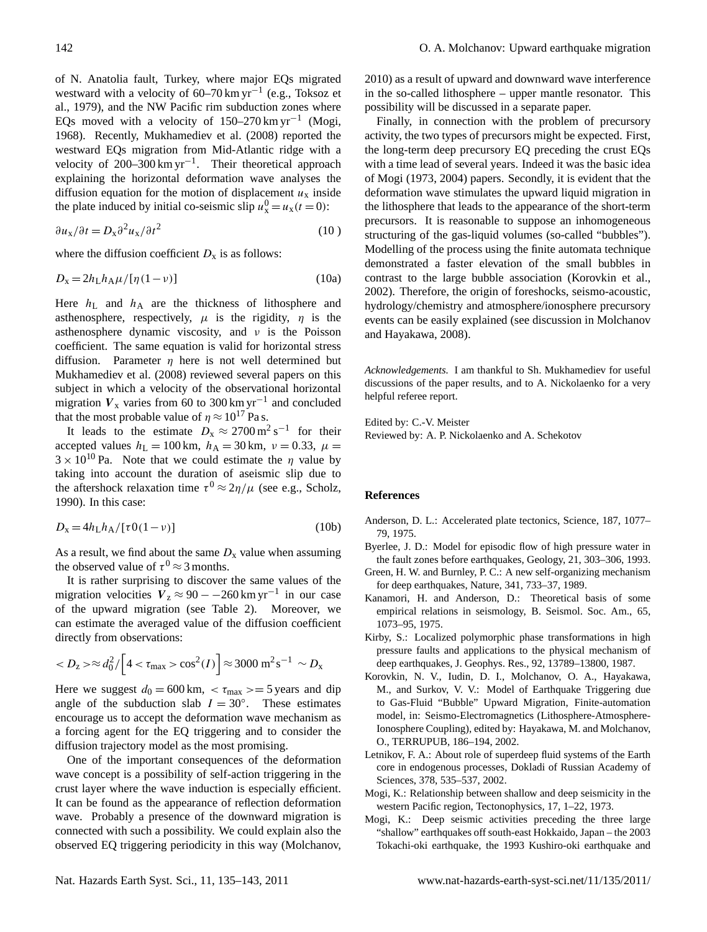of N. Anatolia fault, Turkey, where major EQs migrated westward with a velocity of  $60-70 \text{ km yr}^{-1}$  (e.g., Toksoz et al., 1979), and the NW Pacific rim subduction zones where EQs moved with a velocity of  $150-270 \text{ km yr}^{-1}$  (Mogi, 1968). Recently, Mukhamediev et al. (2008) reported the westward EQs migration from Mid-Atlantic ridge with a velocity of 200–300 km yr<sup>-1</sup>. Their theoretical approach explaining the horizontal deformation wave analyses the diffusion equation for the motion of displacement  $u_x$  inside the plate induced by initial co-seismic slip  $u_x^0 = u_x(t=0)$ :

$$
\frac{\partial u_x}{\partial t} = D_x \partial^2 u_x / \partial t^2 \tag{10}
$$

where the diffusion coefficient  $D_x$  is as follows:

$$
D_{\mathbf{x}} = 2h_{\mathbf{L}}h_{\mathbf{A}}\mu/[\eta(1-\nu)]\tag{10a}
$$

Here  $h_L$  and  $h_A$  are the thickness of lithosphere and asthenosphere, respectively,  $\mu$  is the rigidity,  $\eta$  is the asthenosphere dynamic viscosity, and  $\nu$  is the Poisson coefficient. The same equation is valid for horizontal stress diffusion. Parameter  $\eta$  here is not well determined but Mukhamediev et al. (2008) reviewed several papers on this subject in which a velocity of the observational horizontal migration  $V_x$  varies from 60 to 300 km yr<sup>-1</sup> and concluded that the most probable value of  $\eta \approx 10^{17}$  Pa s.

It leads to the estimate  $D_x \approx 2700 \,\text{m}^2 \,\text{s}^{-1}$  for their accepted values  $h<sub>L</sub> = 100$  km,  $h<sub>A</sub> = 30$  km,  $v = 0.33$ ,  $\mu =$  $3 \times 10^{10}$  Pa. Note that we could estimate the  $\eta$  value by taking into account the duration of aseismic slip due to the aftershock relaxation time  $\tau^0 \approx 2\eta/\mu$  (see e.g., Scholz, 1990). In this case:

$$
D_{\mathbf{x}} = 4h_{\mathbf{L}}h_{\mathbf{A}}/[\tau 0(1-\nu)]\tag{10b}
$$

As a result, we find about the same  $D_x$  value when assuming the observed value of  $\tau^0 \approx 3$  months.

It is rather surprising to discover the same values of the migration velocities  $V_z \approx 90 - -260 \text{ km yr}^{-1}$  in our case of the upward migration (see Table 2). Moreover, we can estimate the averaged value of the diffusion coefficient directly from observations:

$$
\approx d_{0}^{2}/\left[4<\tau_{\text{max}}>\cos^{2}(I)\right]\approx 3000 \text{ m}^{2}\text{s}^{-1} \sim D_{x}
$$

Here we suggest  $d_0 = 600 \text{ km}$ ,  $\lt \tau_{\text{max}} \gt = 5 \text{ years}$  and dip angle of the subduction slab  $I = 30^\circ$ . These estimates encourage us to accept the deformation wave mechanism as a forcing agent for the EQ triggering and to consider the diffusion trajectory model as the most promising.

One of the important consequences of the deformation wave concept is a possibility of self-action triggering in the crust layer where the wave induction is especially efficient. It can be found as the appearance of reflection deformation wave. Probably a presence of the downward migration is connected with such a possibility. We could explain also the observed EQ triggering periodicity in this way (Molchanov, 2010) as a result of upward and downward wave interference in the so-called lithosphere – upper mantle resonator. This possibility will be discussed in a separate paper.

Finally, in connection with the problem of precursory activity, the two types of precursors might be expected. First, the long-term deep precursory EQ preceding the crust EQs with a time lead of several years. Indeed it was the basic idea of Mogi (1973, 2004) papers. Secondly, it is evident that the deformation wave stimulates the upward liquid migration in the lithosphere that leads to the appearance of the short-term precursors. It is reasonable to suppose an inhomogeneous structuring of the gas-liquid volumes (so-called "bubbles"). Modelling of the process using the finite automata technique demonstrated a faster elevation of the small bubbles in contrast to the large bubble association (Korovkin et al., 2002). Therefore, the origin of foreshocks, seismo-acoustic, hydrology/chemistry and atmosphere/ionosphere precursory events can be easily explained (see discussion in Molchanov and Hayakawa, 2008).

*Acknowledgements.* I am thankful to Sh. Mukhamediev for useful discussions of the paper results, and to A. Nickolaenko for a very helpful referee report.

Edited by: C.-V. Meister Reviewed by: A. P. Nickolaenko and A. Schekotov

## **References**

- Anderson, D. L.: Accelerated plate tectonics, Science, 187, 1077– 79, 1975.
- Byerlee, J. D.: Model for episodic flow of high pressure water in the fault zones before earthquakes, Geology, 21, 303–306, 1993.
- Green, H. W. and Burnley, P. C.: A new self-organizing mechanism for deep earthquakes, Nature, 341, 733–37, 1989.
- Kanamori, H. and Anderson, D.: Theoretical basis of some empirical relations in seismology, B. Seismol. Soc. Am., 65, 1073–95, 1975.
- Kirby, S.: Localized polymorphic phase transformations in high pressure faults and applications to the physical mechanism of deep earthquakes, J. Geophys. Res., 92, 13789–13800, 1987.
- Korovkin, N. V., Iudin, D. I., Molchanov, O. A., Hayakawa, M., and Surkov, V. V.: Model of Earthquake Triggering due to Gas-Fluid "Bubble" Upward Migration, Finite-automation model, in: Seismo-Electromagnetics (Lithosphere-Atmosphere-Ionosphere Coupling), edited by: Hayakawa, M. and Molchanov, O., TERRUPUB, 186–194, 2002.
- Letnikov, F. A.: About role of superdeep fluid systems of the Earth core in endogenous processes, Dokladi of Russian Academy of Sciences, 378, 535–537, 2002.
- Mogi, K.: Relationship between shallow and deep seismicity in the western Pacific region, Tectonophysics, 17, 1–22, 1973.
- Mogi, K.: Deep seismic activities preceding the three large "shallow" earthquakes off south-east Hokkaido, Japan – the 2003 Tokachi-oki earthquake, the 1993 Kushiro-oki earthquake and